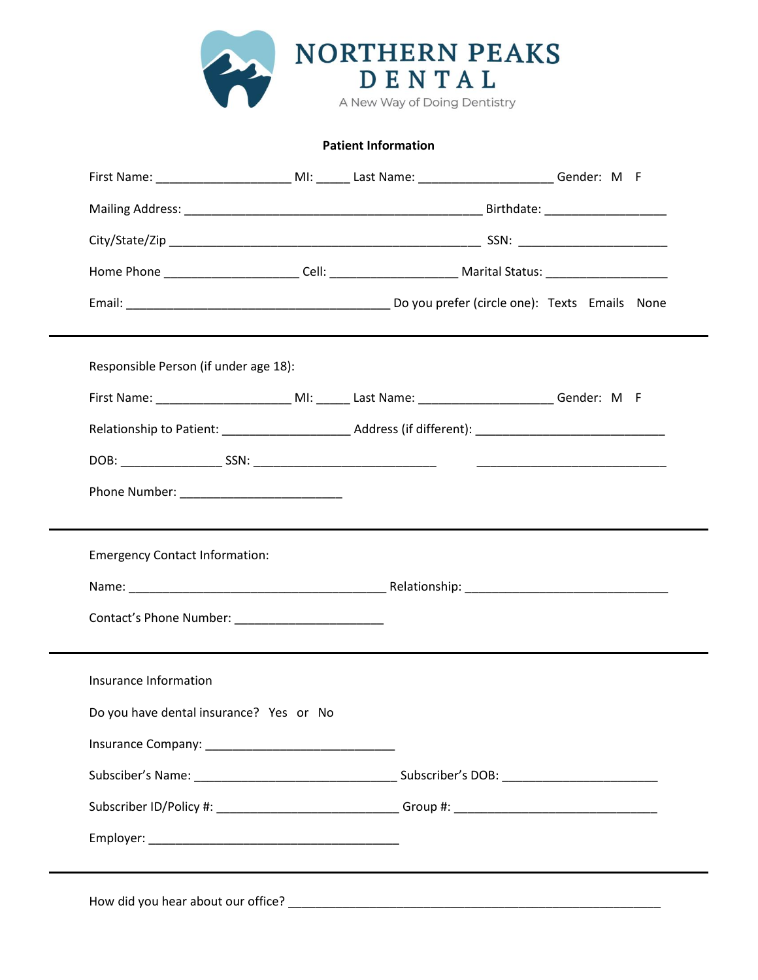

**Patient Information**

|                                         |  | First Name: ____________________________MI: _______ Last Name: _____________________________Gender: M F        |  |  |
|-----------------------------------------|--|----------------------------------------------------------------------------------------------------------------|--|--|
|                                         |  |                                                                                                                |  |  |
|                                         |  |                                                                                                                |  |  |
|                                         |  | Home Phone __________________________Cell: ____________________________Marital Status: _______________________ |  |  |
|                                         |  |                                                                                                                |  |  |
| Responsible Person (if under age 18):   |  |                                                                                                                |  |  |
|                                         |  |                                                                                                                |  |  |
|                                         |  |                                                                                                                |  |  |
|                                         |  |                                                                                                                |  |  |
|                                         |  |                                                                                                                |  |  |
|                                         |  |                                                                                                                |  |  |
|                                         |  |                                                                                                                |  |  |
| <b>Emergency Contact Information:</b>   |  |                                                                                                                |  |  |
|                                         |  |                                                                                                                |  |  |
|                                         |  |                                                                                                                |  |  |
|                                         |  |                                                                                                                |  |  |
| Insurance Information                   |  |                                                                                                                |  |  |
| Do you have dental insurance? Yes or No |  |                                                                                                                |  |  |
|                                         |  |                                                                                                                |  |  |
|                                         |  |                                                                                                                |  |  |
|                                         |  |                                                                                                                |  |  |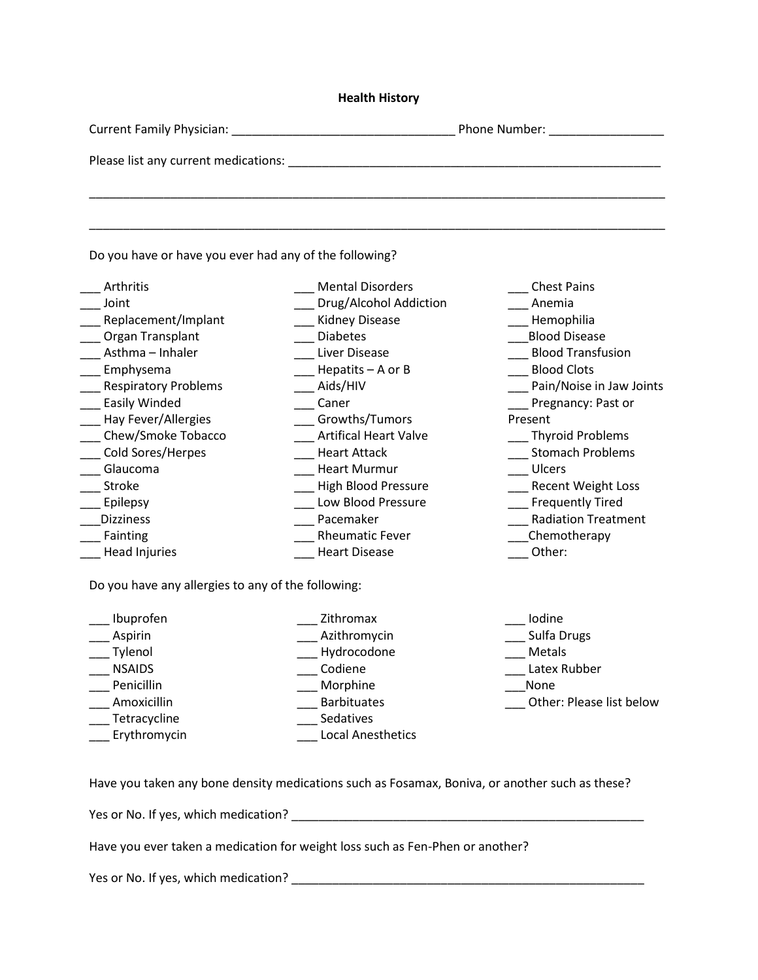## **Health History**

| <b>Current Family Physician:</b>     | Phone Number: |
|--------------------------------------|---------------|
|                                      |               |
| Please list any current medications: |               |
|                                      |               |
|                                      |               |

\_\_\_\_\_\_\_\_\_\_\_\_\_\_\_\_\_\_\_\_\_\_\_\_\_\_\_\_\_\_\_\_\_\_\_\_\_\_\_\_\_\_\_\_\_\_\_\_\_\_\_\_\_\_\_\_\_\_\_\_\_\_\_\_\_\_\_\_\_\_\_\_\_\_\_\_\_\_\_\_\_\_\_\_\_

Do you have or have you ever had any of the following?

| Arthritis                   | <b>Mental Disorders</b>      | <b>Chest Pains</b>         |
|-----------------------------|------------------------------|----------------------------|
| Joint                       | Drug/Alcohol Addiction       | Anemia                     |
| Replacement/Implant         | <b>Kidney Disease</b>        | Hemophilia                 |
| Organ Transplant            | <b>Diabetes</b>              | <b>Blood Disease</b>       |
| Asthma - Inhaler            | Liver Disease                | <b>Blood Transfusion</b>   |
| Emphysema                   | Hepatits $-$ A or B          | <b>Blood Clots</b>         |
| <b>Respiratory Problems</b> | Aids/HIV                     | Pain/Noise in Jaw Joints   |
| Easily Winded               | Caner                        | Pregnancy: Past or         |
| Hay Fever/Allergies         | Growths/Tumors               | Present                    |
| Chew/Smoke Tobacco          | <b>Artifical Heart Valve</b> | <b>Thyroid Problems</b>    |
| Cold Sores/Herpes           | <b>Heart Attack</b>          | <b>Stomach Problems</b>    |
| Glaucoma                    | <b>Heart Murmur</b>          | Ulcers                     |
| Stroke                      | <b>High Blood Pressure</b>   | <b>Recent Weight Loss</b>  |
| Epilepsy                    | Low Blood Pressure           | <b>Frequently Tired</b>    |
| <b>Dizziness</b>            | Pacemaker                    | <b>Radiation Treatment</b> |
| Fainting                    | <b>Rheumatic Fever</b>       | Chemotherapy               |
| <b>Head Injuries</b>        | <b>Heart Disease</b>         | Other:                     |

Do you have any allergies to any of the following:

| Ibuprofen     | Zithromax                |
|---------------|--------------------------|
| Aspirin       | Azithromycin             |
| Tylenol       | Hydrocodone              |
| <b>NSAIDS</b> | Codiene                  |
| Penicillin    | Morphine                 |
| Amoxicillin   | <b>Barbituates</b>       |
| Tetracycline  | Sedatives                |
| Erythromycin  | <b>Local Anesthetics</b> |
|               |                          |

\_\_\_ Iodine \_\_\_ Sulfa Drugs \_\_\_ Metals \_\_\_ Latex Rubber \_\_\_None \_\_\_ Other: Please list below

Have you taken any bone density medications such as Fosamax, Boniva, or another such as these?

Yes or No. If yes, which medication? \_\_\_\_\_\_\_\_\_\_\_\_\_\_\_\_\_\_\_\_\_\_\_\_\_\_\_\_\_\_\_\_\_\_\_\_\_\_\_\_\_\_\_\_\_\_\_\_\_\_\_\_

Have you ever taken a medication for weight loss such as Fen-Phen or another?

Yes or No. If yes, which medication? \_\_\_\_\_\_\_\_\_\_\_\_\_\_\_\_\_\_\_\_\_\_\_\_\_\_\_\_\_\_\_\_\_\_\_\_\_\_\_\_\_\_\_\_\_\_\_\_\_\_\_\_